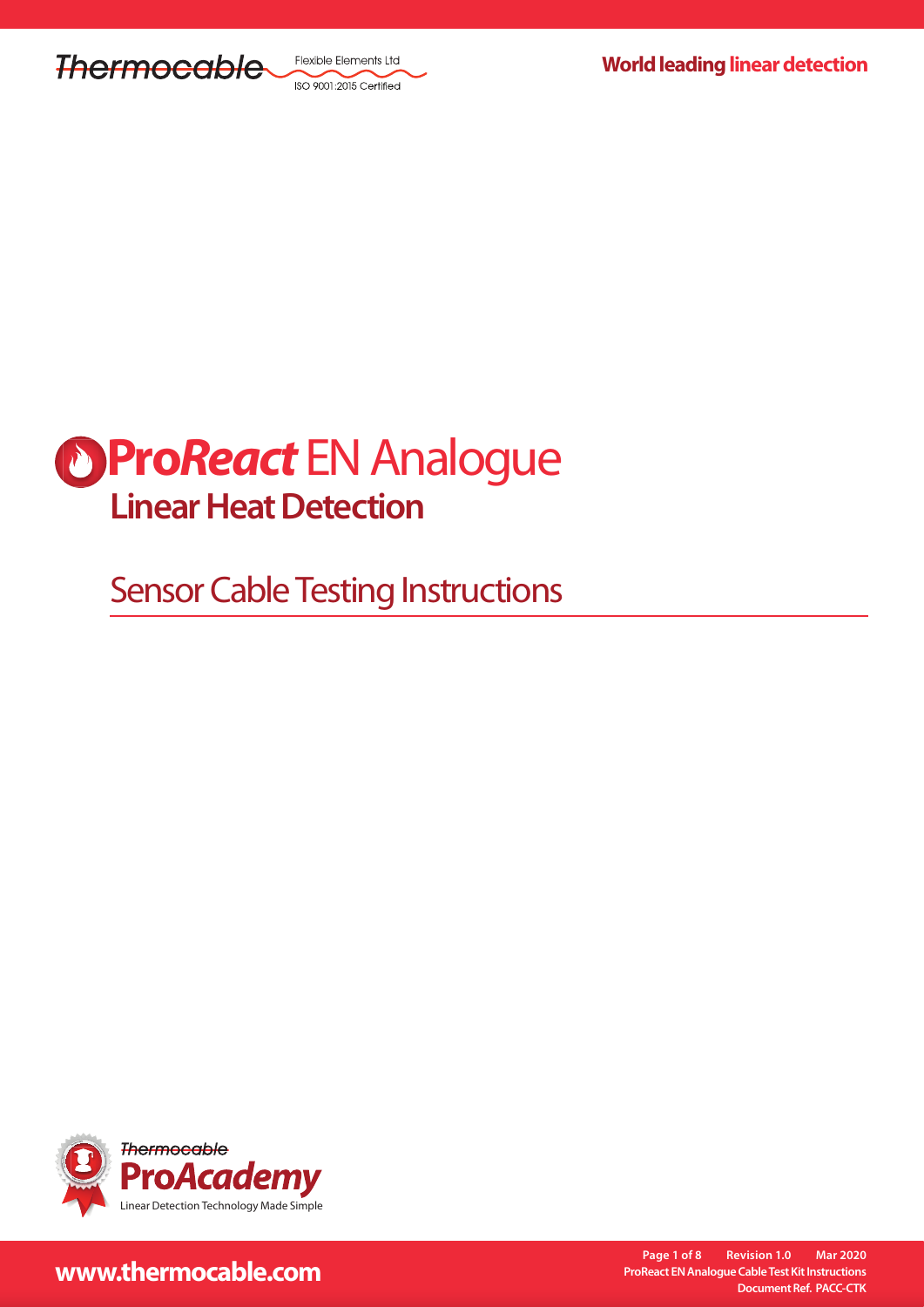

Flexible Elements Ltd ISO 9001:2015 Certified



Sensor Cable Testing Instructions



**www.thermocable.com**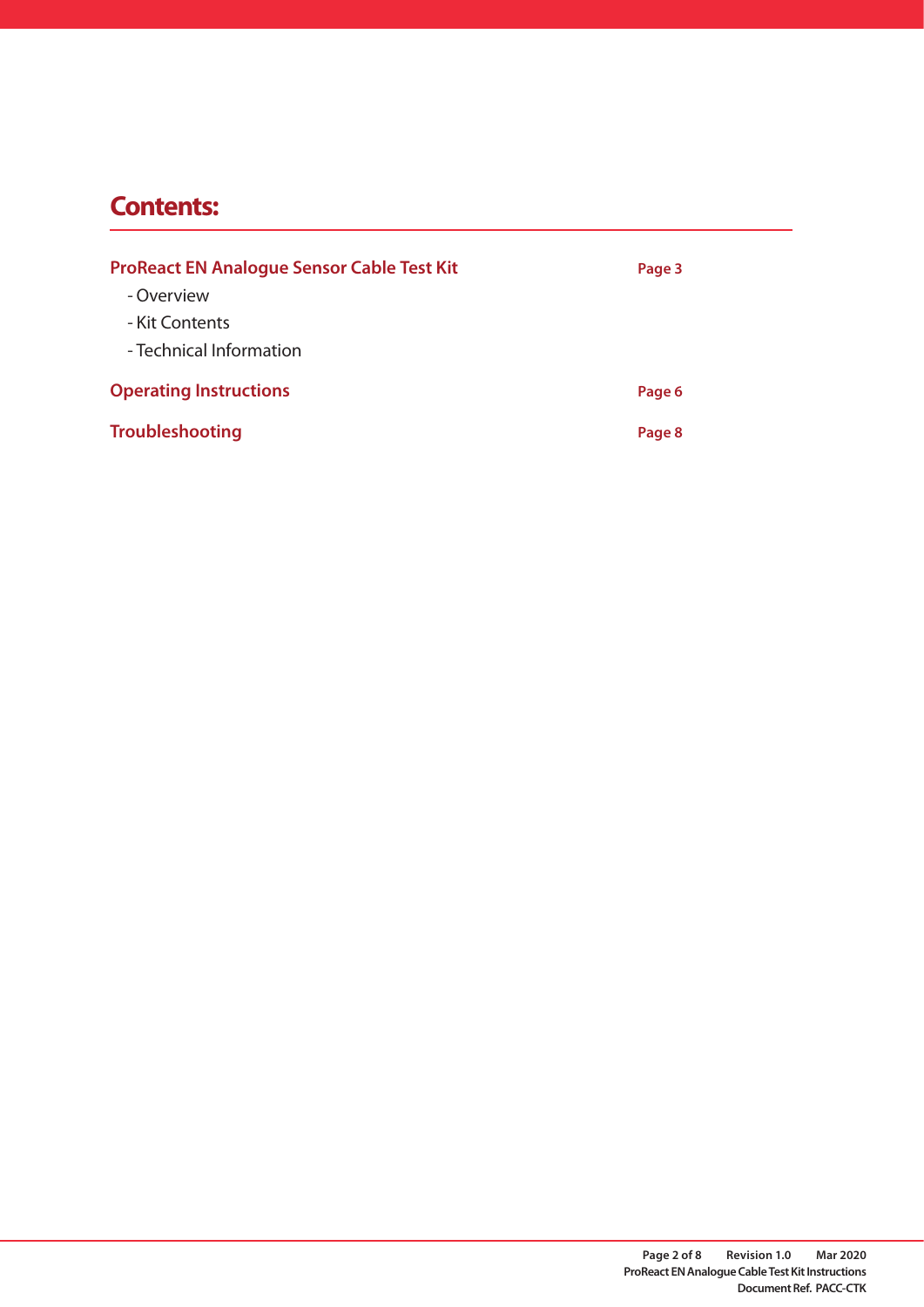### **Contents:**

| <b>ProReact EN Analogue Sensor Cable Test Kit</b> | Page 3 |
|---------------------------------------------------|--------|
| - Overview                                        |        |
| - Kit Contents                                    |        |
| - Technical Information                           |        |
| <b>Operating Instructions</b>                     | Page 6 |
| <b>Troubleshooting</b>                            | Page 8 |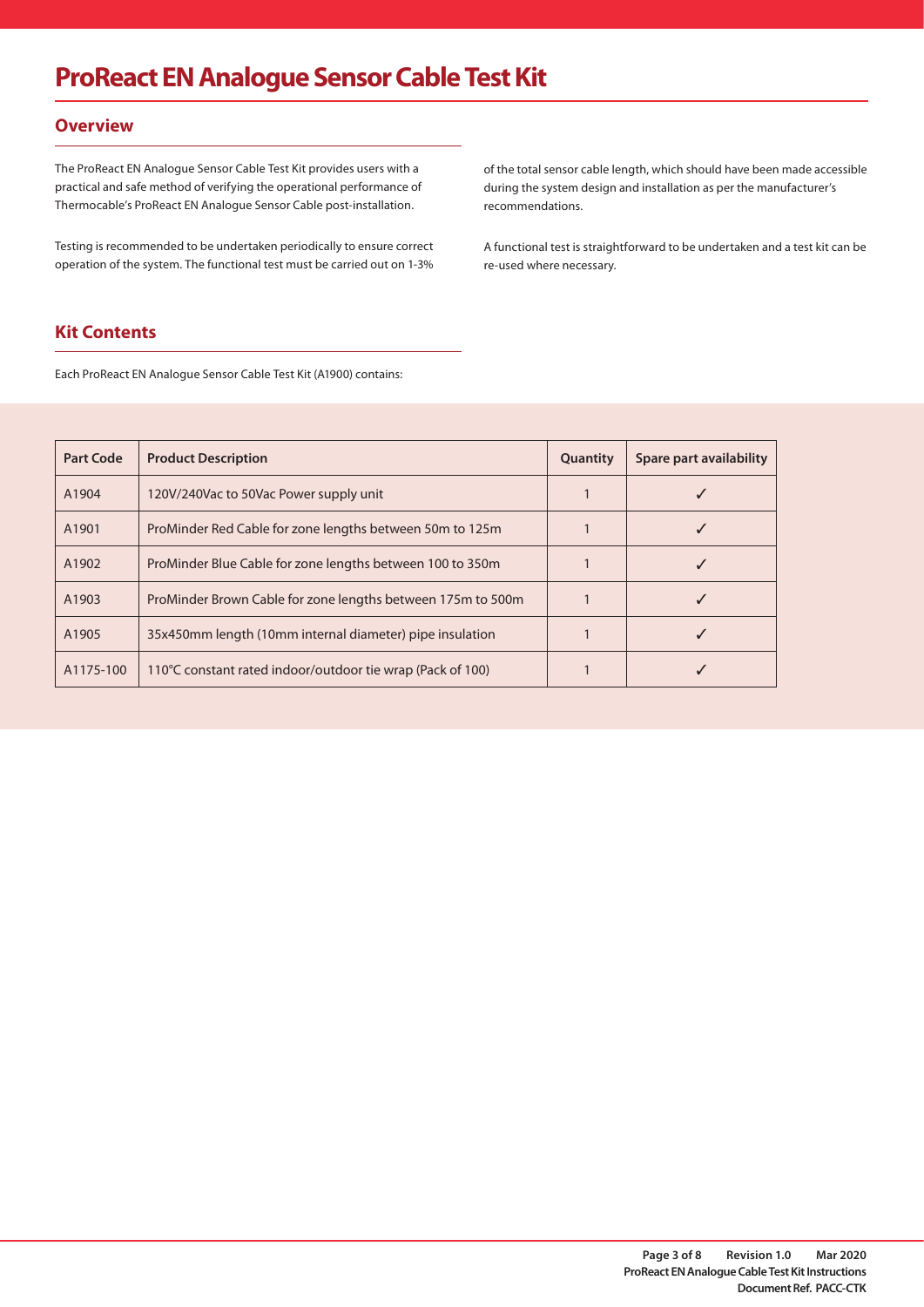### **ProReact EN Analogue Sensor Cable Test Kit**

### **Overview**

The ProReact EN Analogue Sensor Cable Test Kit provides users with a practical and safe method of verifying the operational performance of Thermocable's ProReact EN Analogue Sensor Cable post-installation.

Testing is recommended to be undertaken periodically to ensure correct operation of the system. The functional test must be carried out on 1-3%

of the total sensor cable length, which should have been made accessible during the system design and installation as per the manufacturer's recommendations.

A functional test is straightforward to be undertaken and a test kit can be re-used where necessary.

### **Kit Contents**

Each ProReact EN Analogue Sensor Cable Test Kit (A1900) contains:

| <b>Part Code</b> | <b>Product Description</b>                                  | <b>Quantity</b> | Spare part availability |
|------------------|-------------------------------------------------------------|-----------------|-------------------------|
| A1904            | 120V/240Vac to 50Vac Power supply unit                      |                 |                         |
| A1901            | ProMinder Red Cable for zone lengths between 50m to 125m    |                 |                         |
| A1902            | ProMinder Blue Cable for zone lengths between 100 to 350m   |                 |                         |
| A1903            | ProMinder Brown Cable for zone lengths between 175m to 500m |                 |                         |
| A1905            | 35x450mm length (10mm internal diameter) pipe insulation    |                 |                         |
| A1175-100        | 110°C constant rated indoor/outdoor tie wrap (Pack of 100)  |                 |                         |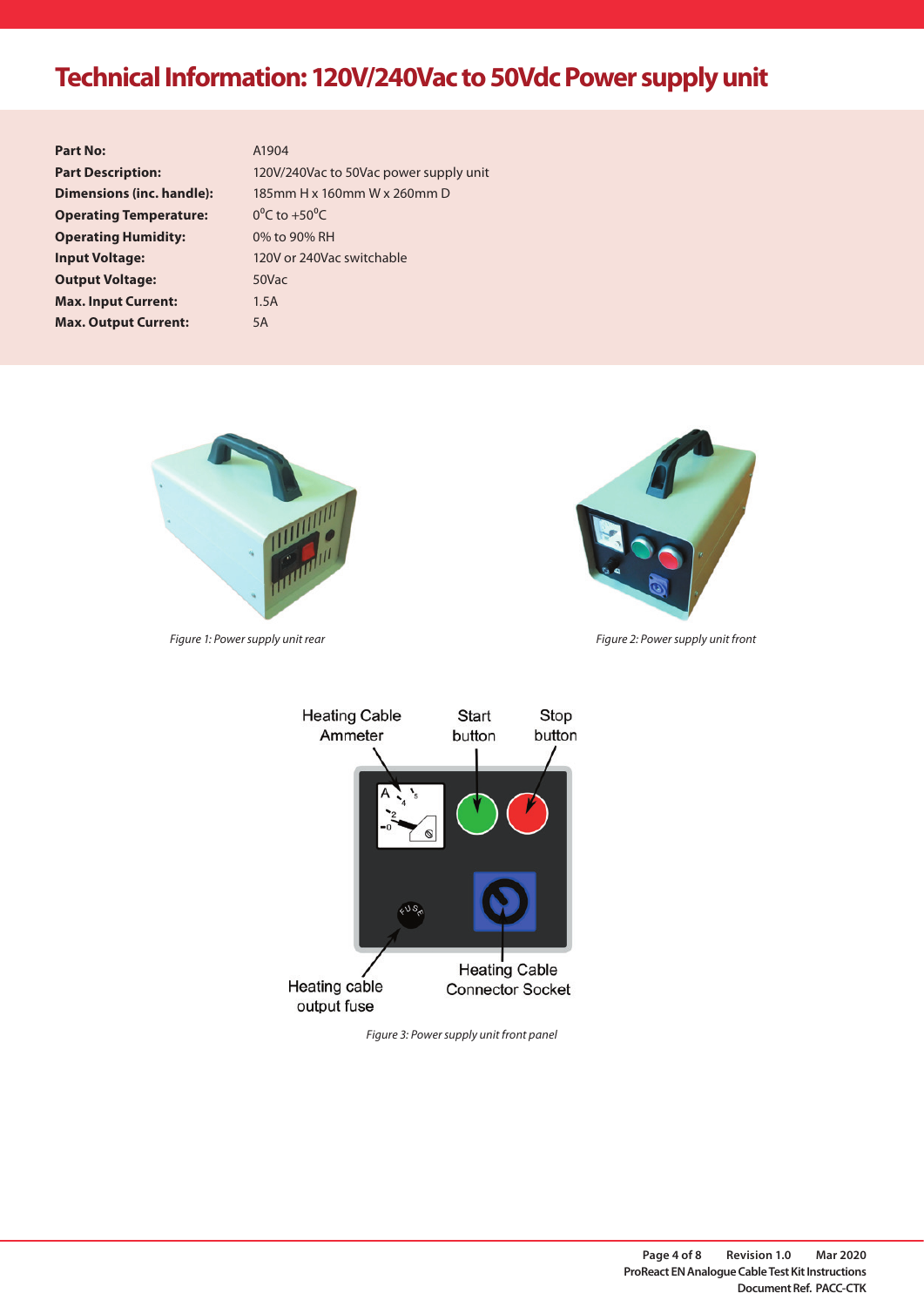# **Technical Information: 120V/240Vac to 50Vdc Power supply unit**

| <b>Part No:</b>                  | A190             |
|----------------------------------|------------------|
| <b>Part Description:</b>         | 120V             |
| <b>Dimensions (inc. handle):</b> | 185r             |
| <b>Operating Temperature:</b>    | $0^0C$           |
| <b>Operating Humidity:</b>       | $0%$ t           |
| <b>Input Voltage:</b>            | $120\lambda$     |
| <b>Output Voltage:</b>           | 50V <sub>5</sub> |
| <b>Max. Input Current:</b>       | 1.5A             |
| <b>Max. Output Current:</b>      | <b>5A</b>        |
|                                  |                  |

#### **Part No:** A1904

120V/240Vac to 50Vac power supply unit **Dimensions (inc. handle):** 185mm H x 160mm W x 260mm D  $0^{\circ}$ C to  $+50^{\circ}$ C **Operating Humidity:** 0% to 90% RH 120V or 240Vac switchable **Output Voltage:** 50Vac



*Figure 1: Power supply unit rear*



*Figure 2: Power supply unit front*



*Figure 3: Power supply unit front panel*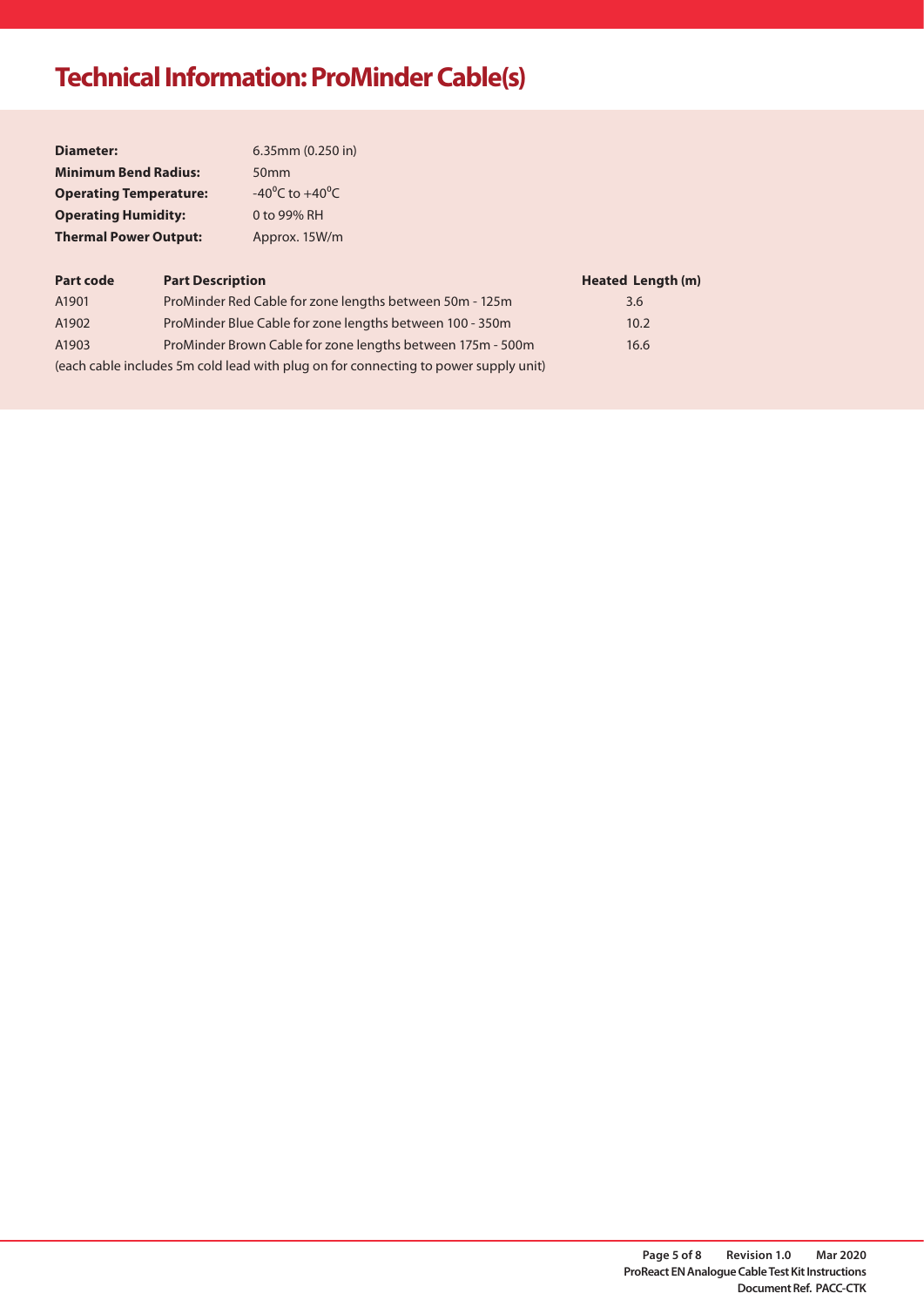# **Technical Information: ProMinder Cable(s)**

| <b>Diameter:</b>              | 6.35mm (0.250 in)                  |
|-------------------------------|------------------------------------|
| <b>Minimum Bend Radius:</b>   | 50 <sub>mm</sub>                   |
| <b>Operating Temperature:</b> | $-40^{\circ}$ C to $+40^{\circ}$ C |
| <b>Operating Humidity:</b>    | 0 to 99% RH                        |
| <b>Thermal Power Output:</b>  | Approx. 15W/m                      |

| <b>Part code</b>                                                                    | <b>Part Description</b>                                    | Heated Length (m) |  |  |
|-------------------------------------------------------------------------------------|------------------------------------------------------------|-------------------|--|--|
| A1901                                                                               | ProMinder Red Cable for zone lengths between 50m - 125m    | 3.6               |  |  |
| A1902                                                                               | ProMinder Blue Cable for zone lengths between 100 - 350m   | 10.2              |  |  |
| A1903                                                                               | ProMinder Brown Cable for zone lengths between 175m - 500m | 16.6              |  |  |
| (each cable includes 5m cold lead with plug on for connecting to power supply unit) |                                                            |                   |  |  |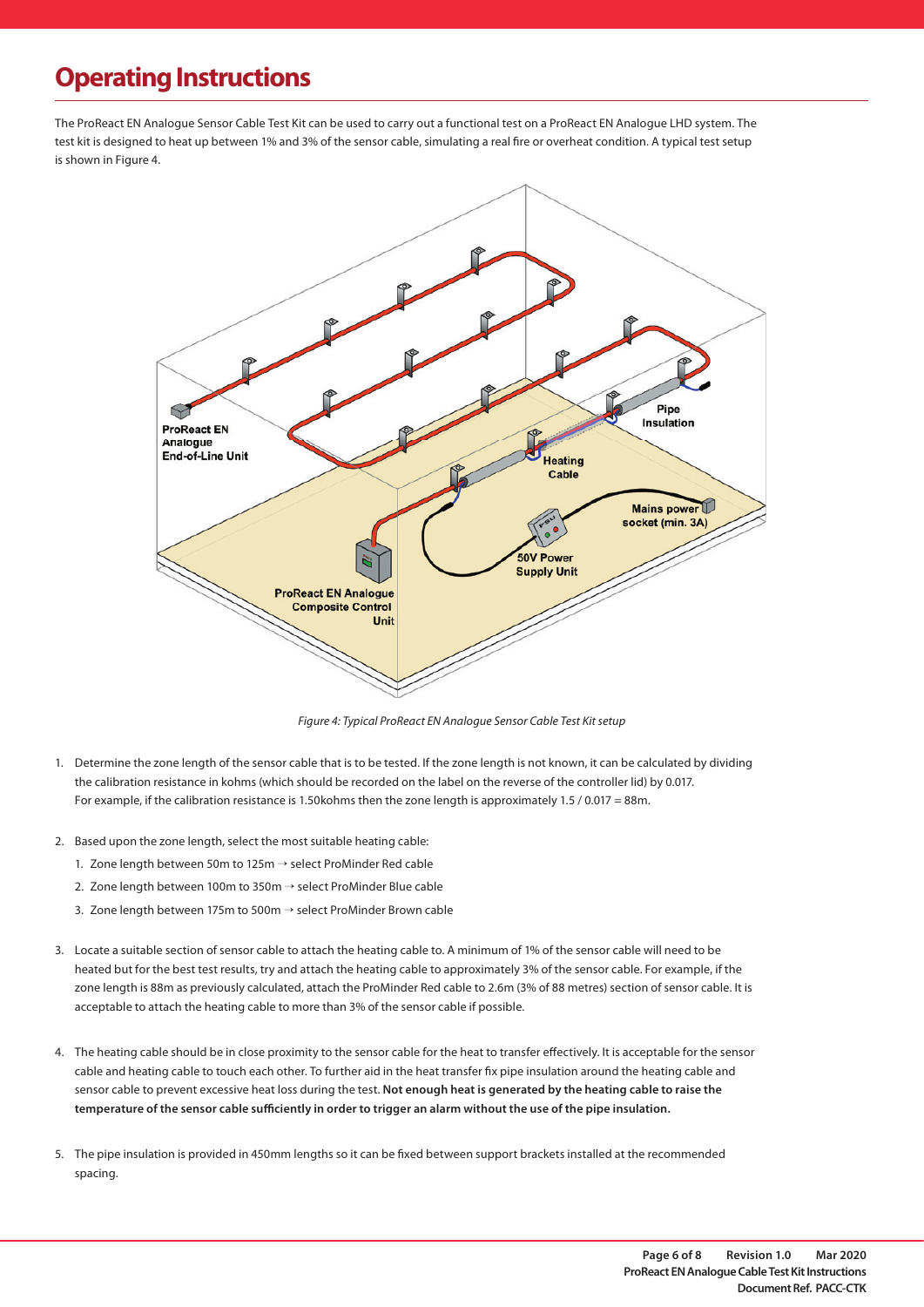### **Operating Instructions**

The ProReact EN Analogue Sensor Cable Test Kit can be used to carry out a functional test on a ProReact EN Analogue LHD system. The test kit is designed to heat up between 1% and 3% of the sensor cable, simulating a real fire or overheat condition. A typical test setup is shown in Figure 4.



*Figure 4: Typical ProReact EN Analogue Sensor Cable Test Kit setup*

- 1. Determine the zone length of the sensor cable that is to be tested. If the zone length is not known, it can be calculated by dividing the calibration resistance in kohms (which should be recorded on the label on the reverse of the controller lid) by 0.017. For example, if the calibration resistance is 1.50kohms then the zone length is approximately 1.5 / 0.017 = 88m.
- 2. Based upon the zone length, select the most suitable heating cable:
	- 1. Zone length between 50m to 125m  $\rightarrow$  select ProMinder Red cable
	- 2. Zone length between 100m to 350m  $\rightarrow$  select ProMinder Blue cable
	- 3. Zone length between 175m to 500m → select ProMinder Brown cable
- 3. Locate a suitable section of sensor cable to attach the heating cable to. A minimum of 1% of the sensor cable will need to be heated but for the best test results, try and attach the heating cable to approximately 3% of the sensor cable. For example, if the zone length is 88m as previously calculated, attach the ProMinder Red cable to 2.6m (3% of 88 metres) section of sensor cable. It is acceptable to attach the heating cable to more than 3% of the sensor cable if possible.
- 4. The heating cable should be in close proximity to the sensor cable for the heat to transfer effectively. It is acceptable for the sensor cable and heating cable to touch each other. To further aid in the heat transfer fix pipe insulation around the heating cable and sensor cable to prevent excessive heat loss during the test. **Not enough heat is generated by the heating cable to raise the**  temperature of the sensor cable sufficiently in order to trigger an alarm without the use of the pipe insulation.
- 5. The pipe insulation is provided in 450mm lengths so it can be fixed between support brackets installed at the recommended spacing.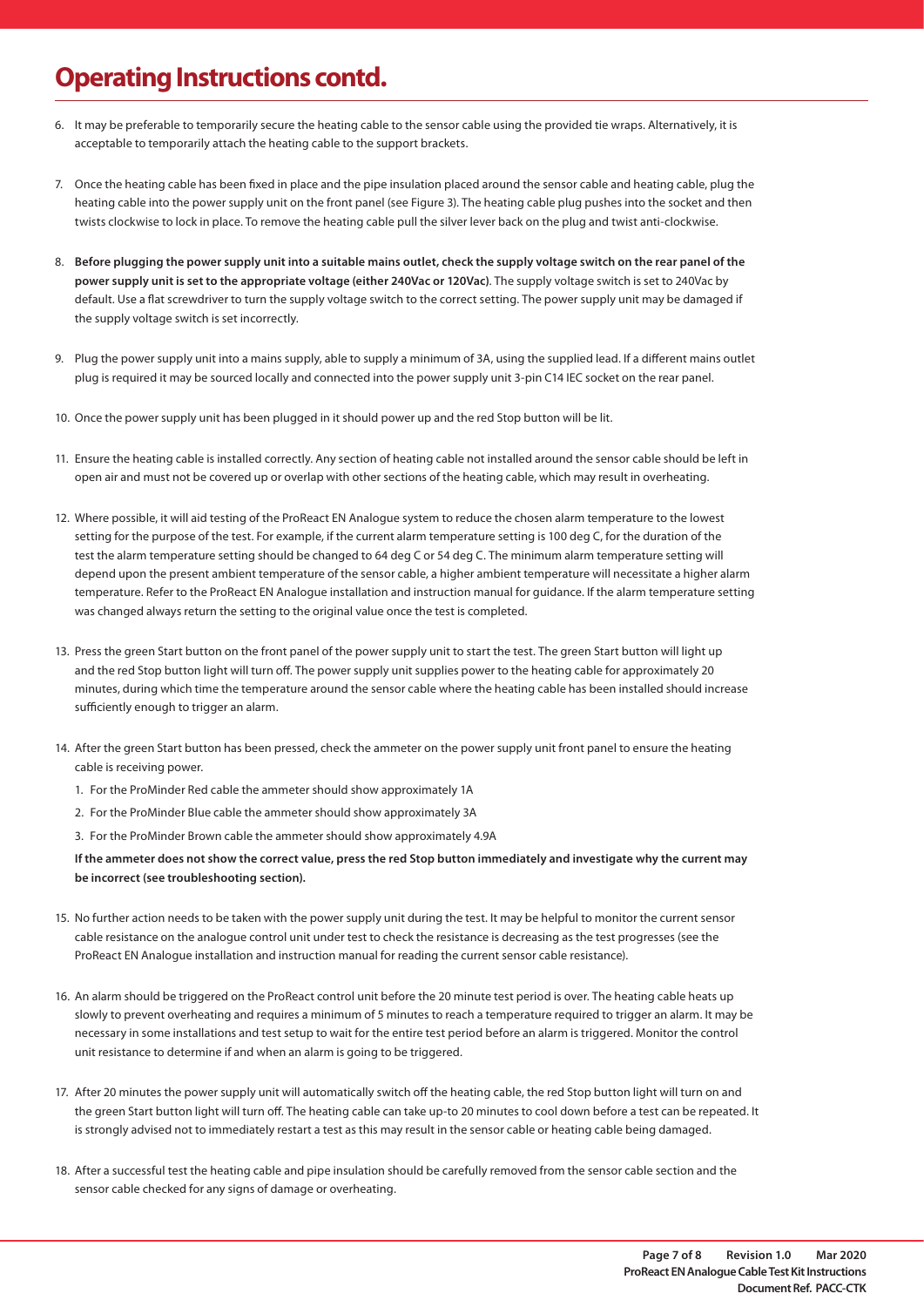### **Operating Instructions contd.**

- 6. It may be preferable to temporarily secure the heating cable to the sensor cable using the provided tie wraps. Alternatively, it is acceptable to temporarily attach the heating cable to the support brackets.
- 7. Once the heating cable has been fixed in place and the pipe insulation placed around the sensor cable and heating cable, plug the heating cable into the power supply unit on the front panel (see Figure 3). The heating cable plug pushes into the socket and then twists clockwise to lock in place. To remove the heating cable pull the silver lever back on the plug and twist anti-clockwise.
- 8. **Before plugging the power supply unit into a suitable mains outlet, check the supply voltage switch on the rear panel of the power supply unit is set to the appropriate voltage (either 240Vac or 120Vac)**. The supply voltage switch is set to 240Vac by default. Use a flat screwdriver to turn the supply voltage switch to the correct setting. The power supply unit may be damaged if the supply voltage switch is set incorrectly.
- 9. Plug the power supply unit into a mains supply, able to supply a minimum of 3A, using the supplied lead. If a different mains outlet plug is required it may be sourced locally and connected into the power supply unit 3-pin C14 IEC socket on the rear panel.
- 10. Once the power supply unit has been plugged in it should power up and the red Stop button will be lit.
- 11. Ensure the heating cable is installed correctly. Any section of heating cable not installed around the sensor cable should be left in open air and must not be covered up or overlap with other sections of the heating cable, which may result in overheating.
- 12. Where possible, it will aid testing of the ProReact EN Analogue system to reduce the chosen alarm temperature to the lowest setting for the purpose of the test. For example, if the current alarm temperature setting is 100 deg C, for the duration of the test the alarm temperature setting should be changed to 64 deg C or 54 deg C. The minimum alarm temperature setting will depend upon the present ambient temperature of the sensor cable, a higher ambient temperature will necessitate a higher alarm temperature. Refer to the ProReact EN Analogue installation and instruction manual for guidance. If the alarm temperature setting was changed always return the setting to the original value once the test is completed.
- 13. Press the green Start button on the front panel of the power supply unit to start the test. The green Start button will light up and the red Stop button light will turn off. The power supply unit supplies power to the heating cable for approximately 20 minutes, during which time the temperature around the sensor cable where the heating cable has been installed should increase sufficiently enough to trigger an alarm.
- 14. After the green Start button has been pressed, check the ammeter on the power supply unit front panel to ensure the heating cable is receiving power.
	- 1. For the ProMinder Red cable the ammeter should show approximately 1A
	- 2. For the ProMinder Blue cable the ammeter should show approximately 3A
	- 3. For the ProMinder Brown cable the ammeter should show approximately 4.9A

**If the ammeter does not show the correct value, press the red Stop button immediately and investigate why the current may be incorrect (see troubleshooting section).**

- 15. No further action needs to be taken with the power supply unit during the test. It may be helpful to monitor the current sensor cable resistance on the analogue control unit under test to check the resistance is decreasing as the test progresses (see the ProReact EN Analogue installation and instruction manual for reading the current sensor cable resistance).
- 16. An alarm should be triggered on the ProReact control unit before the 20 minute test period is over. The heating cable heats up slowly to prevent overheating and requires a minimum of 5 minutes to reach a temperature required to trigger an alarm. It may be necessary in some installations and test setup to wait for the entire test period before an alarm is triggered. Monitor the control unit resistance to determine if and when an alarm is going to be triggered.
- 17. After 20 minutes the power supply unit will automatically switch off the heating cable, the red Stop button light will turn on and the green Start button light will turn off. The heating cable can take up-to 20 minutes to cool down before a test can be repeated. It is strongly advised not to immediately restart a test as this may result in the sensor cable or heating cable being damaged.
- 18. After a successful test the heating cable and pipe insulation should be carefully removed from the sensor cable section and the sensor cable checked for any signs of damage or overheating.